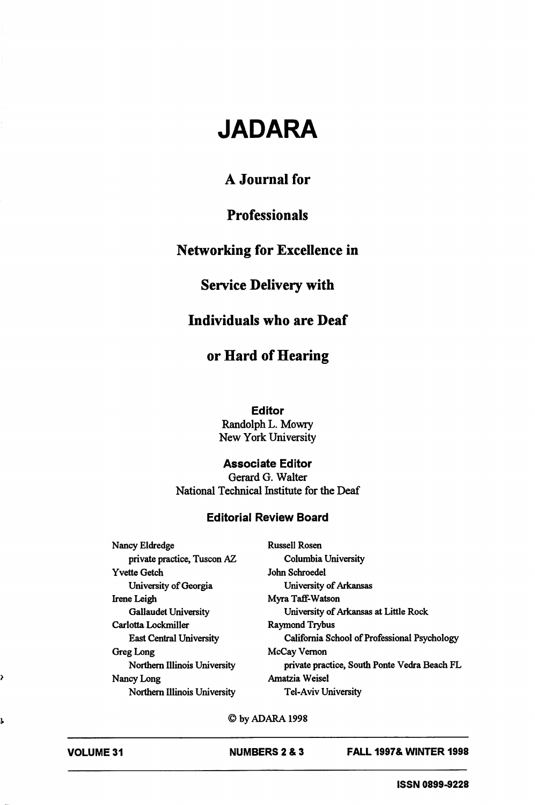# JADARA

## A Journal for

## **Professionals**

## Networking for Excellence in

### Service Delivery with

#### Individuals who are Deaf

### or Hard of Hearing

#### Editor

Randolph L. Mowry New York University

#### Associate Editor

Gerard G. Walter National Technical Institute for the Deaf

#### Editorial Review Board

Nancy Eldredge Russell Rosen private practice, Tuscon AZ Columbia University Yvette Getch John Schroedel University of Georgia University of Arkansas Irene Leigh Myra Taff-Watson Carlotta Lockmiller Raymond Trybus Greg Long McCay Vernon Nancy Long Amatzia Weisel Northern Illinois University Tel-Aviv University

Gallaudet University University of Arkansas at Little Rock East Central University California School of Professional Psychology Northern Illinois University private practice, South Ponte Vedra Beach FL

©byADARAI998

ì

ļ,

VOLUME 31 NUMBERS 2 & 3 FALL 1997& WINTER 1998